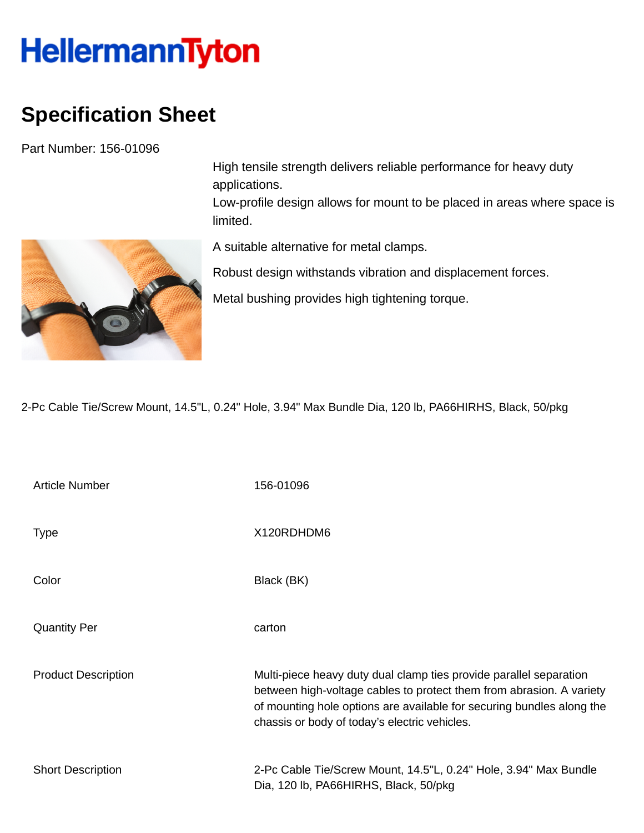## **HellermannTyton**

## **Specification Sheet**

Part Number: 156-01096



High tensile strength delivers reliable performance for heavy duty applications.

Low-profile design allows for mount to be placed in areas where space is limited.

A suitable alternative for metal clamps.

Robust design withstands vibration and displacement forces.

Metal bushing provides high tightening torque.

2-Pc Cable Tie/Screw Mount, 14.5"L, 0.24" Hole, 3.94" Max Bundle Dia, 120 lb, PA66HIRHS, Black, 50/pkg

| <b>Article Number</b>      | 156-01096                                                                                                                                                                                                                                                            |
|----------------------------|----------------------------------------------------------------------------------------------------------------------------------------------------------------------------------------------------------------------------------------------------------------------|
| Type                       | X120RDHDM6                                                                                                                                                                                                                                                           |
| Color                      | Black (BK)                                                                                                                                                                                                                                                           |
| <b>Quantity Per</b>        | carton                                                                                                                                                                                                                                                               |
| <b>Product Description</b> | Multi-piece heavy duty dual clamp ties provide parallel separation<br>between high-voltage cables to protect them from abrasion. A variety<br>of mounting hole options are available for securing bundles along the<br>chassis or body of today's electric vehicles. |
| <b>Short Description</b>   | 2-Pc Cable Tie/Screw Mount, 14.5"L, 0.24" Hole, 3.94" Max Bundle<br>Dia, 120 lb, PA66HIRHS, Black, 50/pkg                                                                                                                                                            |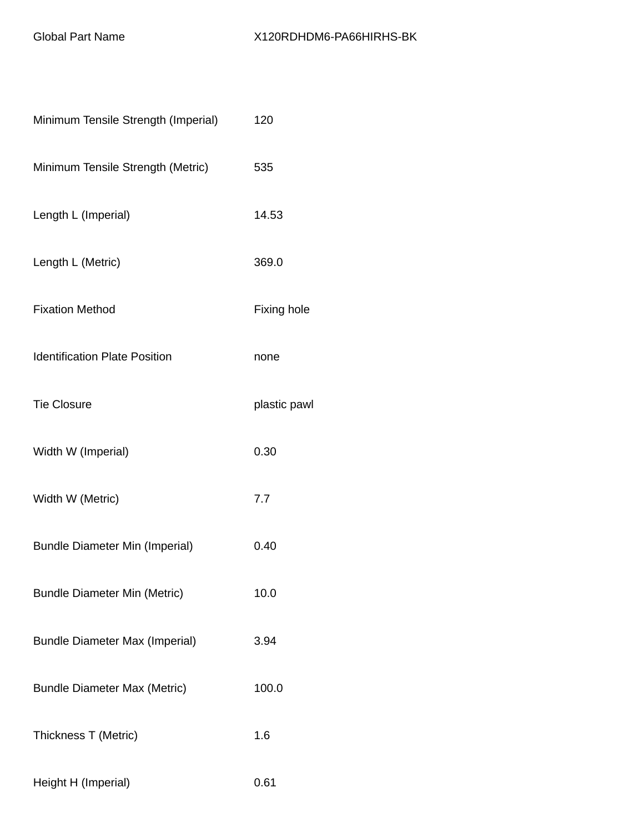| Minimum Tensile Strength (Imperial)   | 120          |
|---------------------------------------|--------------|
| Minimum Tensile Strength (Metric)     | 535          |
| Length L (Imperial)                   | 14.53        |
| Length L (Metric)                     | 369.0        |
| <b>Fixation Method</b>                | Fixing hole  |
| <b>Identification Plate Position</b>  | none         |
| <b>Tie Closure</b>                    | plastic pawl |
| Width W (Imperial)                    | 0.30         |
| Width W (Metric)                      | 7.7          |
| <b>Bundle Diameter Min (Imperial)</b> | 0.40         |
| <b>Bundle Diameter Min (Metric)</b>   | 10.0         |
| <b>Bundle Diameter Max (Imperial)</b> | 3.94         |
| <b>Bundle Diameter Max (Metric)</b>   | 100.0        |
| Thickness T (Metric)                  | 1.6          |
| Height H (Imperial)                   | 0.61         |